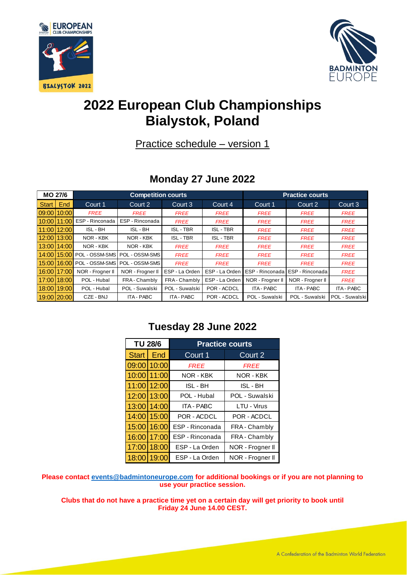



# **2022 European Club Championships Bialystok, Poland**

Practice schedule – version 1

## **Monday 27 June 2022**

| <b>MO 27/6</b> |            | <b>Competition courts</b> |                                 |                  |                  | <b>Practice courts</b> |                   |                   |
|----------------|------------|---------------------------|---------------------------------|------------------|------------------|------------------------|-------------------|-------------------|
| Start          | <b>End</b> | Court 1                   | Court 2                         | Court 3          | Court 4          | Court 1                | Court 2           | Court 3           |
| 09:00 10:00    |            | <b>FREE</b>               | <b>FREE</b>                     | <b>FREE</b>      | <b>FREE</b>      | <b>FREE</b>            | <b>FREE</b>       | <b>FREE</b>       |
| 10:00 11:00    |            | ESP - Rinconada           | ESP - Rinconada                 | <b>FREE</b>      | <b>FREE</b>      | <b>FREE</b>            | <b>FREE</b>       | <b>FREE</b>       |
| 11:00 12:00    |            | ISL - BH                  | ISL - BH                        | <b>ISL - TBR</b> | <b>ISL - TBR</b> | <b>FREE</b>            | <b>FREE</b>       | <b>FREE</b>       |
| 12:00 13:00    |            | NOR - KBK                 | NOR - KBK                       | <b>ISL - TBR</b> | <b>ISL - TBR</b> | <b>FREE</b>            | <b>FREE</b>       | <b>FREE</b>       |
| 13:00 14:00    |            | NOR - KBK                 | NOR - KBK                       | <b>FREE</b>      | <b>FREE</b>      | <b>FREE</b>            | <b>FREE</b>       | <b>FREE</b>       |
| 14:00 15:00    |            |                           | POL - OSSM-SMS   POL - OSSM-SMS | <b>FREE</b>      | <b>FREE</b>      | <b>FREE</b>            | <b>FREE</b>       | <b>FREE</b>       |
| 15:00 16:00    |            |                           | POL - OSSM-SMS   POL - OSSM-SMS | <b>FREE</b>      | <b>FREE</b>      | <b>FREE</b>            | <b>FREE</b>       | <b>FREE</b>       |
| 16:00 17:00    |            | NOR - Frogner II          | NOR - Frogner II                | ESP - La Orden   | ESP - La Orden   | ESP - Rinconada        | ESP - Rinconada I | <b>FREE</b>       |
| 17:00 18:00    |            | POL - Hubal               | FRA - Chambly                   | FRA-Chambly      | ESP - La Orden   | NOR - Frogner II       | NOR - Frogner II  | <b>FREE</b>       |
| 18:00 19:00    |            | POL - Hubal               | POL - Suwalski                  | POL - Suwalski   | POR - ACDCL      | ITA - PABC             | ITA - PABC        | <b>ITA - PABC</b> |
| 19:00 20:00    |            | CZE - BNJ                 | <b>ITA - PABC</b>               | ITA - PABC       | POR - ACDCL      | POL - Suwalski         | POL - Suwalski    | POL - Suwalski    |

#### **Tuesday 28 June 2022**

| <b>TU 28/6</b> |             | <b>Practice courts</b> |                  |  |
|----------------|-------------|------------------------|------------------|--|
| <b>Start</b>   | <b>End</b>  | Court 1                | Court 2          |  |
| 09:00          | 10:00       | <b>FREE</b>            | <b>FREE</b>      |  |
| 10:00          | 11:00       | NOR - KBK              | NOR - KBK        |  |
| 11:00          | 12:00       | ISL - BH               | ISL - BH         |  |
| 12:00          | 13:00       | POL - Hubal            | POL - Suwalski   |  |
|                | 13:00 14:00 | <b>ITA - PABC</b>      | LTU - Virus      |  |
|                | 14:00 15:00 | POR - ACDCL            | POR - ACDCL      |  |
| 15:00          | 16:00       | ESP - Rinconada        | FRA - Chambly    |  |
| 16:00          | 17:00       | ESP - Rinconada        | FRA - Chambly    |  |
| 17:00          | 18:00       | ESP - La Orden         | NOR - Frogner II |  |
| 18:00          | 19:00       | ESP - La Orden         | NOR - Frogner II |  |

**Please contact [events@badmintoneurope.com](mailto:events@badmintoneurope.com) for additional bookings or if you are not planning to use your practice session.**

**Clubs that do not have a practice time yet on a certain day will get priority to book until Friday 24 June 14.00 CEST.**